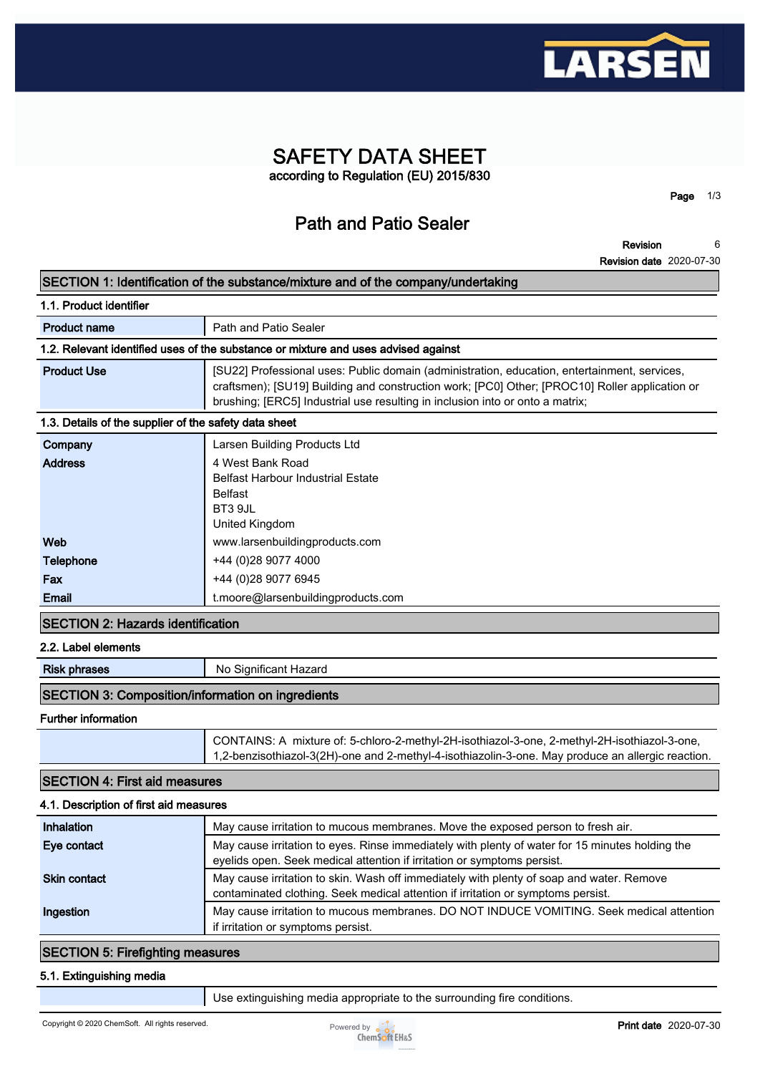

# **SAFETY DATA SHEET according to Regulation (EU) 2015/830**

**Page 1/3**

# **Path and Patio Sealer**

**Revision Revision date 2020-07-30 6**

|                                                                                    | SECTION 1: Identification of the substance/mixture and of the company/undertaking                                                                                                                                                                                               |  |
|------------------------------------------------------------------------------------|---------------------------------------------------------------------------------------------------------------------------------------------------------------------------------------------------------------------------------------------------------------------------------|--|
| 1.1. Product identifier                                                            |                                                                                                                                                                                                                                                                                 |  |
| <b>Product name</b>                                                                | Path and Patio Sealer                                                                                                                                                                                                                                                           |  |
| 1.2. Relevant identified uses of the substance or mixture and uses advised against |                                                                                                                                                                                                                                                                                 |  |
| <b>Product Use</b>                                                                 | [SU22] Professional uses: Public domain (administration, education, entertainment, services,<br>craftsmen); [SU19] Building and construction work; [PC0] Other; [PROC10] Roller application or<br>brushing; [ERC5] Industrial use resulting in inclusion into or onto a matrix; |  |
| 1.3. Details of the supplier of the safety data sheet                              |                                                                                                                                                                                                                                                                                 |  |
| Company                                                                            | Larsen Building Products Ltd                                                                                                                                                                                                                                                    |  |
| <b>Address</b>                                                                     | 4 West Bank Road<br><b>Belfast Harbour Industrial Estate</b><br><b>Belfast</b><br>BT3 9JL<br>United Kingdom                                                                                                                                                                     |  |
| Web                                                                                | www.larsenbuildingproducts.com                                                                                                                                                                                                                                                  |  |
| Telephone                                                                          | +44 (0)28 9077 4000                                                                                                                                                                                                                                                             |  |
| Fax                                                                                | +44 (0)28 9077 6945                                                                                                                                                                                                                                                             |  |
| Email                                                                              | t.moore@larsenbuildingproducts.com                                                                                                                                                                                                                                              |  |
| <b>SECTION 2: Hazards identification</b>                                           |                                                                                                                                                                                                                                                                                 |  |
| 2.2. Label elements                                                                |                                                                                                                                                                                                                                                                                 |  |
| <b>Risk phrases</b>                                                                | No Significant Hazard                                                                                                                                                                                                                                                           |  |
| <b>SECTION 3: Composition/information on ingredients</b>                           |                                                                                                                                                                                                                                                                                 |  |
| <b>Further information</b>                                                         |                                                                                                                                                                                                                                                                                 |  |
|                                                                                    | CONTAINS: A mixture of: 5-chloro-2-methyl-2H-isothiazol-3-one, 2-methyl-2H-isothiazol-3-one,<br>1,2-benzisothiazol-3(2H)-one and 2-methyl-4-isothiazolin-3-one. May produce an allergic reaction.                                                                               |  |
| <b>SECTION 4: First aid measures</b>                                               |                                                                                                                                                                                                                                                                                 |  |
| 4.1. Description of first aid measures                                             |                                                                                                                                                                                                                                                                                 |  |
| Inhalation                                                                         | May cause irritation to mucous membranes. Move the exposed person to fresh air.                                                                                                                                                                                                 |  |
| Eye contact                                                                        | May cause irritation to eyes. Rinse immediately with plenty of water for 15 minutes holding the<br>eyelids open. Seek medical attention if irritation or symptoms persist.                                                                                                      |  |
| <b>Skin contact</b>                                                                | May cause irritation to skin. Wash off immediately with plenty of soap and water. Remove<br>contaminated clothing. Seek medical attention if irritation or symptoms persist.                                                                                                    |  |
| Ingestion                                                                          | May cause irritation to mucous membranes. DO NOT INDUCE VOMITING. Seek medical attention<br>if irritation or symptoms persist.                                                                                                                                                  |  |
| <b>SECTION 5: Firefighting measures</b>                                            |                                                                                                                                                                                                                                                                                 |  |
| 5.1. Extinguishing media                                                           |                                                                                                                                                                                                                                                                                 |  |

**Use extinguishing media appropriate to the surrounding fire conditions.**

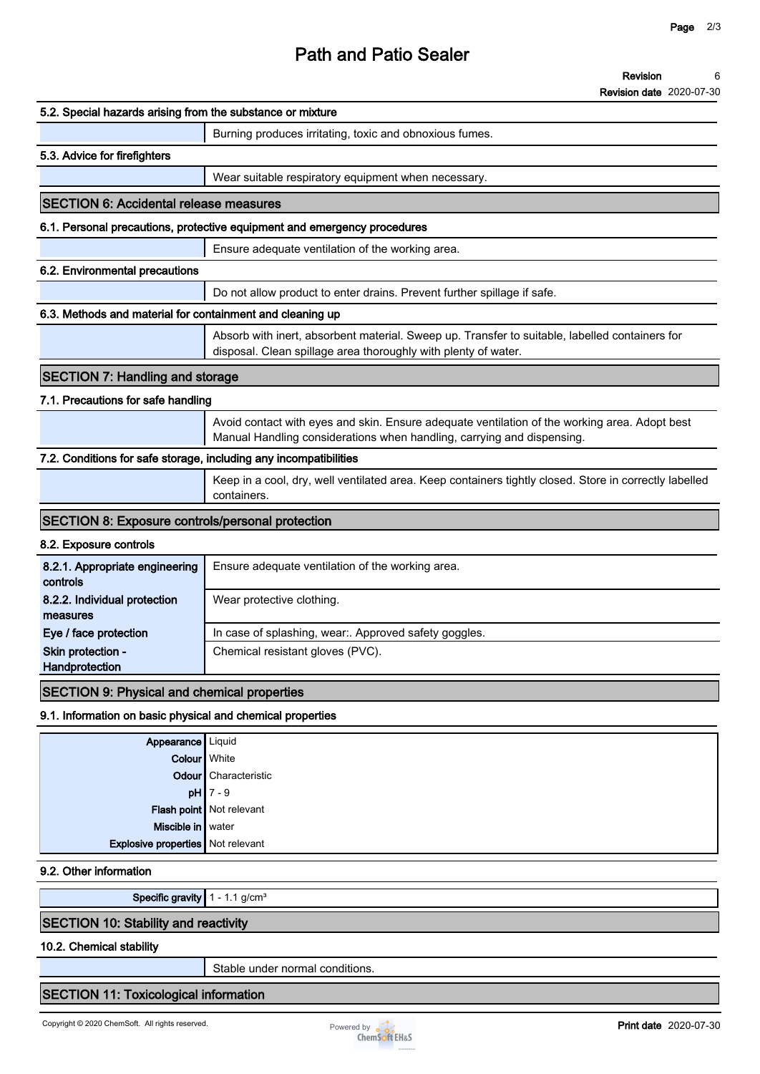# **Path and Patio Sealer**

#### **Revision 6**

**Revision date 2020-07-30**

| 5.2. Special hazards arising from the substance or mixture        |                                                                                                                                                                         |
|-------------------------------------------------------------------|-------------------------------------------------------------------------------------------------------------------------------------------------------------------------|
|                                                                   | Burning produces irritating, toxic and obnoxious fumes.                                                                                                                 |
| 5.3. Advice for firefighters                                      |                                                                                                                                                                         |
|                                                                   | Wear suitable respiratory equipment when necessary.                                                                                                                     |
| <b>SECTION 6: Accidental release measures</b>                     |                                                                                                                                                                         |
|                                                                   | 6.1. Personal precautions, protective equipment and emergency procedures                                                                                                |
|                                                                   | Ensure adequate ventilation of the working area.                                                                                                                        |
| 6.2. Environmental precautions                                    |                                                                                                                                                                         |
|                                                                   | Do not allow product to enter drains. Prevent further spillage if safe.                                                                                                 |
| 6.3. Methods and material for containment and cleaning up         |                                                                                                                                                                         |
|                                                                   | Absorb with inert, absorbent material. Sweep up. Transfer to suitable, labelled containers for<br>disposal. Clean spillage area thoroughly with plenty of water.        |
| <b>SECTION 7: Handling and storage</b>                            |                                                                                                                                                                         |
| 7.1. Precautions for safe handling                                |                                                                                                                                                                         |
|                                                                   | Avoid contact with eyes and skin. Ensure adequate ventilation of the working area. Adopt best<br>Manual Handling considerations when handling, carrying and dispensing. |
| 7.2. Conditions for safe storage, including any incompatibilities |                                                                                                                                                                         |
|                                                                   | Keep in a cool, dry, well ventilated area. Keep containers tightly closed. Store in correctly labelled<br>containers.                                                   |
| <b>SECTION 8: Exposure controls/personal protection</b>           |                                                                                                                                                                         |
| 8.2. Exposure controls                                            |                                                                                                                                                                         |
| 8.2.1. Appropriate engineering<br>controls                        | Ensure adequate ventilation of the working area.                                                                                                                        |
| 8.2.2. Individual protection<br>measures                          | Wear protective clothing.                                                                                                                                               |
| Eye / face protection                                             | In case of splashing, wear:. Approved safety goggles.                                                                                                                   |
| Skin protection -<br>Handprotection                               | Chemical resistant gloves (PVC).                                                                                                                                        |
| <b>SECTION 9: Physical and chemical properties</b>                |                                                                                                                                                                         |
| 9.1. Information on basic physical and chemical properties        |                                                                                                                                                                         |
| Appearance   Liquid                                               |                                                                                                                                                                         |
| Colour White                                                      |                                                                                                                                                                         |
|                                                                   | Odour Characteristic                                                                                                                                                    |
|                                                                   | $pH$ 7 - 9                                                                                                                                                              |
|                                                                   | Flash point Not relevant                                                                                                                                                |
| Miscible in water                                                 |                                                                                                                                                                         |
| Explosive properties   Not relevant                               |                                                                                                                                                                         |
| 9.2. Other information                                            |                                                                                                                                                                         |
| Specific gravity $1 - 1.1$ g/cm <sup>3</sup>                      |                                                                                                                                                                         |
|                                                                   |                                                                                                                                                                         |

## **SECTION 10: Stability and reactivity**

## **10.2. Chemical stability**

**Stable under normal conditions.**

## **SECTION 11: Toxicological information**